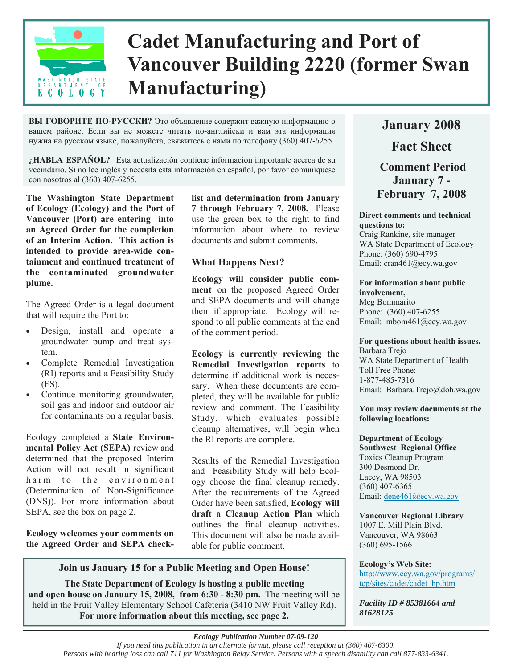

# **Cadet Manufacturing and Port of Vancouver Building 2220 (former Swan Manufacturing)**

**ВЫ ГОВОРИТЕ ПО-РУССКИ?** Это объявление содержит важную информацию о вашем районе. Если вы не можете читать по-английски и вам эта информация нужна на русском языке, пожалуйста, свяжитесь с нами по телефону (360) 407-6255.

**¿HABLA ESPAÑOL?** Esta actualización contiene información importante acerca de su vecindario. Si no lee inglés y necesita esta información en español, por favor comuníquese con nosotros al (360) 407-6255.

**The Washington State Department of Ecology (Ecology) and the Port of Vancouver (Port) are entering into an Agreed Order for the completion of an Interim Action. This action is intended to provide area-wide containment and continued treatment of the contaminated groundwater plume.** 

The Agreed Order is a legal document that will require the Port to:

- Design, install and operate a groundwater pump and treat system.
- Complete Remedial Investigation (RI) reports and a Feasibility Study (FS).
- Continue monitoring groundwater, soil gas and indoor and outdoor air for contaminants on a regular basis.

Ecology completed a **State Environmental Policy Act (SEPA)** review and determined that the proposed Interim Action will not result in significant harm to the environment (Determination of Non-Significance (DNS)). For more information about SEPA, see the box on page 2.

**Ecology welcomes your comments on the Agreed Order and SEPA check-** **list and determination from January 7 through February 7, 2008.** Please use the green box to the right to find information about where to review documents and submit comments.

### **What Happens Next?**

**Ecology will consider public comment** on the proposed Agreed Order and SEPA documents and will change them if appropriate. Ecology will respond to all public comments at the end of the comment period.

**Ecology is currently reviewing the Remedial Investigation reports** to determine if additional work is necessary. When these documents are completed, they will be available for public review and comment. The Feasibility Study, which evaluates possible cleanup alternatives, will begin when the RI reports are complete.

Results of the Remedial Investigation and Feasibility Study will help Ecology choose the final cleanup remedy. After the requirements of the Agreed Order have been satisfied, **Ecology will draft a Cleanup Action Plan** which outlines the final cleanup activities. This document will also be made available for public comment.

### **Join us January 15 for a Public Meeting and Open House!**

**The State Department of Ecology is hosting a public meeting and open house on January 15, 2008, from 6:30 - 8:30 pm.** The meeting will be held in the Fruit Valley Elementary School Cafeteria (3410 NW Fruit Valley Rd). **For more information about this meeting, see page 2.**

# **January 2008 Fact Sheet Comment Period January 7 - February 7, 2008**

### **Direct comments and technical questions to:**

Craig Rankine, site manager WA State Department of Ecology Phone: (360) 690-4795 Email: cran461@ecy.wa.gov

### **For information about public involvement,**  Meg Bommarito

Phone: (360) 407-6255 Email: mbom461@ecy.wa.gov

### **For questions about health issues,**

Barbara Trejo WA State Department of Health Toll Free Phone: 1-877-485-7316 Email: Barbara.Trejo@doh.wa.gov

#### **You may review documents at the following locations:**

**Department of Ecology Southwest Regional Office**  Toxics Cleanup Program 300 Desmond Dr. Lacey, WA 98503 (360) 407-6365 Email: dene461@ecy.wa.gov

**Vancouver Regional Library**  1007 E. Mill Plain Blvd. Vancouver, WA 98663 (360) 695-1566

### **Ecology's Web Site:**

[http://www.ecy.wa.gov/programs/](http://www.ecy.wa.gov/programs/tcp/sites/cadet/cadet_hp.htm) tcp/sites/cadet/cadet\_hp.htm

*Facility ID # 85381664 and 81628125* 

### *Ecology Publication Number 07-09-120*

*If you need this publication in an alternate format, please call reception at (360) 407-6300.* 

*Persons with hearing loss can call 711 for Washington Relay Service. Persons with a speech disability can call 877-833-6341.*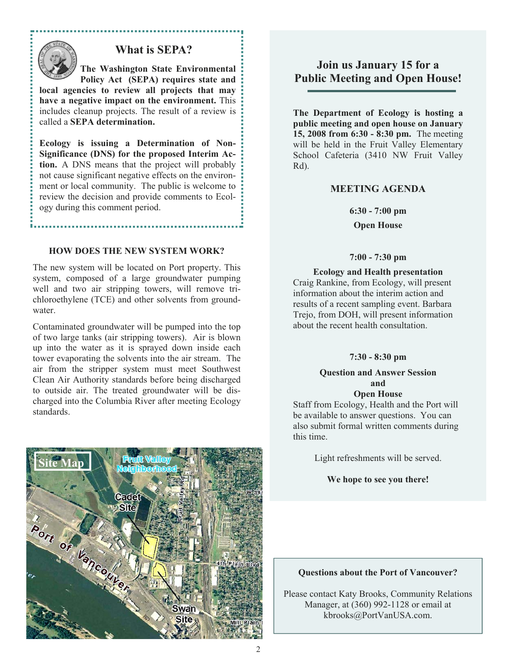

### **What is SEPA?**

**The Washington State Environmental Policy Act (SEPA) requires state and** 

**local agencies to review all projects that may have a negative impact on the environment.** This includes cleanup projects. The result of a review is called a **SEPA determination.**

**Ecology is issuing a Determination of Non-Significance (DNS) for the proposed Interim Action.** A DNS means that the project will probably not cause significant negative effects on the environment or local community. The public is welcome to review the decision and provide comments to Ecology during this comment period.

### **HOW DOES THE NEW SYSTEM WORK?**

The new system will be located on Port property. This system, composed of a large groundwater pumping well and two air stripping towers, will remove trichloroethylene (TCE) and other solvents from groundwater.

Contaminated groundwater will be pumped into the top of two large tanks (air stripping towers). Air is blown up into the water as it is sprayed down inside each tower evaporating the solvents into the air stream. The air from the stripper system must meet Southwest Clean Air Authority standards before being discharged to outside air. The treated groundwater will be discharged into the Columbia River after meeting Ecology standards.



### **Join us January 15 for a Public Meeting and Open House!**

**The Department of Ecology is hosting a public meeting and open house on January 15, 2008 from 6:30 - 8:30 pm.** The meeting will be held in the Fruit Valley Elementary School Cafeteria (3410 NW Fruit Valley Rd).

### **MEETING AGENDA**

**6:30 - 7:00 pm** 

**Open House** 

#### **7:00 - 7:30 pm**

**Ecology and Health presentation**  Craig Rankine, from Ecology, will present information about the interim action and results of a recent sampling event. Barbara Trejo, from DOH, will present information about the recent health consultation.

### **7:30 - 8:30 pm**

#### **Question and Answer Session and Open House**

Staff from Ecology, Health and the Port will be available to answer questions. You can also submit formal written comments during this time.

Light refreshments will be served.

**We hope to see you there!** 

#### **Questions about the Port of Vancouver?**

Please contact Katy Brooks, Community Relations Manager, at (360) 992-1128 or email at kbrooks@PortVanUSA.com.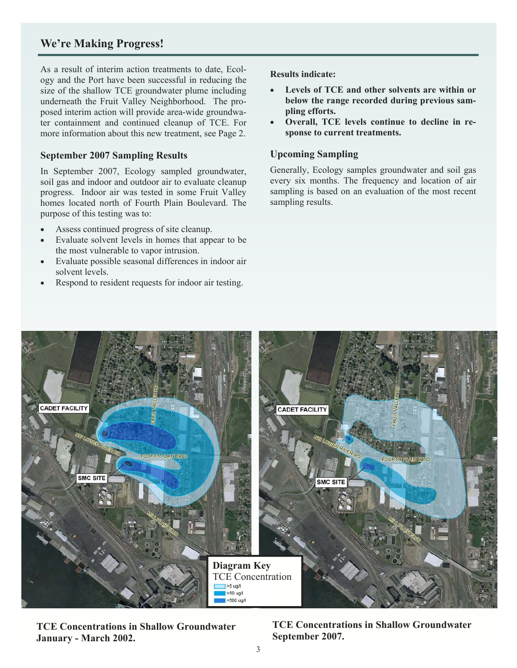### **We're Making Progress!**

As a result of interim action treatments to date, Ecology and the Port have been successful in reducing the size of the shallow TCE groundwater plume including underneath the Fruit Valley Neighborhood. The proposed interim action will provide area-wide groundwater containment and continued cleanup of TCE. For more information about this new treatment, see Page 2.

### **September 2007 Sampling Results**

In September 2007, Ecology sampled groundwater, soil gas and indoor and outdoor air to evaluate cleanup progress. Indoor air was tested in some Fruit Valley homes located north of Fourth Plain Boulevard. The purpose of this testing was to:

- Assess continued progress of site cleanup.
- Evaluate solvent levels in homes that appear to be the most vulnerable to vapor intrusion.
- Evaluate possible seasonal differences in indoor air solvent levels.
- Respond to resident requests for indoor air testing.

**Results indicate:** 

- **Levels of TCE and other solvents are within or below the range recorded during previous sampling efforts.**
- **Overall, TCE levels continue to decline in response to current treatments.**

### **Upcoming Sampling**

Generally, Ecology samples groundwater and soil gas every six months. The frequency and location of air sampling is based on an evaluation of the most recent sampling results.



**TCE Concentrations in Shallow Groundwater January - March 2002.** 

**TCE Concentrations in Shallow Groundwater September 2007.**